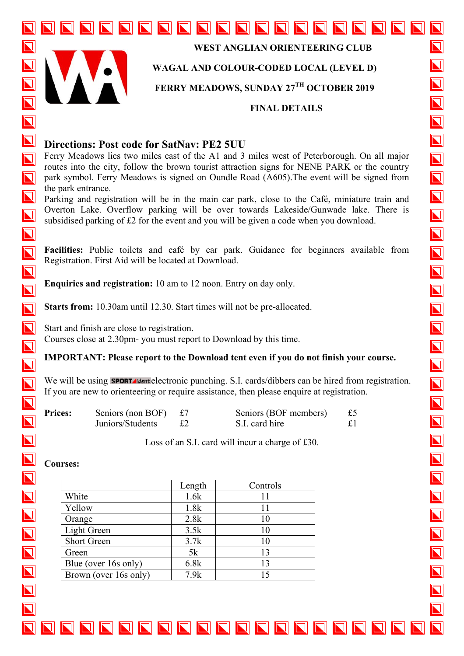

**WEST ANGLIAN ORIENTEERING CLUB** 

## **WAGAL AND COLOUR-CODED LOCAL (LEVEL D)**

**FERRY MEADOWS, SUNDAY 27TH OCTOBER 2019** 

#### **FINAL DETAILS**

 $\overline{\bm{\mathsf{N}}}$ 

 $\overline{\bm{\mathsf{N}}}$ 

 $\overline{\mathbf{N}}$ 

 $\overline{\mathbf{N}}$ 

 $\overline{\mathbf{N}}$ 

 $\overline{\mathbf{N}}$ 

 $\overline{\mathbf{N}}$ 

 $\overline{\mathbf{N}}$ 

 $\overline{\bm{\mathsf{N}}}$ 

 $\overline{\bm{\mathsf{N}}}$ 

 $\overline{\mathbf{N}}$ 

 $\overline{\mathbf{N}}$ 

 $\overline{\mathbf{N}}$ 

 $\overline{\blacksquare}$ 

 $\overline{\mathbf{N}}$ 

 $\overline{\mathbf{N}}$ 

 $\overline{\mathbf{N}}$ 

# **Directions: Post code for SatNav: PE2 5UU**

NNN

Ferry Meadows lies two miles east of the A1 and 3 miles west of Peterborough. On all major routes into the city, follow the brown tourist attraction signs for NENE PARK or the country park symbol. Ferry Meadows is signed on Oundle Road (A605).The event will be signed from the park entrance.

NN

Parking and registration will be in the main car park, close to the Café, miniature train and Overton Lake. Overflow parking will be over towards Lakeside/Gunwade lake. There is subsidised parking of £2 for the event and you will be given a code when you download.

**Facilities:** Public toilets and café by car park. Guidance for beginners available from Registration. First Aid will be located at Download.

**Enquiries and registration:** 10 am to 12 noon. Entry on day only.

**Starts from:** 10.30am until 12.30. Start times will not be pre-allocated.

Start and finish are close to registration. Courses close at 2.30pm- you must report to Download by this time.

## **IMPORTANT: Please report to the Download tent even if you do not finish your course.**

We will be using **SPORT** dentelectronic punching. S.I. cards/dibbers can be hired from registration. If you are new to orienteering or require assistance, then please enquire at registration.

| <b>Prices:</b> | Seniors (non BOF) $\pounds$ 7 | Seniors (BOF members) | £5 |
|----------------|-------------------------------|-----------------------|----|
|                | Juniors/Students              | S.I. card hire        | £1 |

Loss of an S.I. card will incur a charge of £30.

NNNNNNNNNNNNNNNNN

### **Courses:**

|                       | Length | Controls |
|-----------------------|--------|----------|
| White                 | 1.6k   | 11       |
| Yellow                | 1.8k   | 11       |
| Orange                | 2.8k   | 10       |
| Light Green           | 3.5k   | 10       |
| <b>Short Green</b>    | 3.7k   | 10       |
| Green                 | 5k     | 13       |
| Blue (over 16s only)  | 6.8k   | 13       |
| Brown (over 16s only) | 7.9k   | 15       |